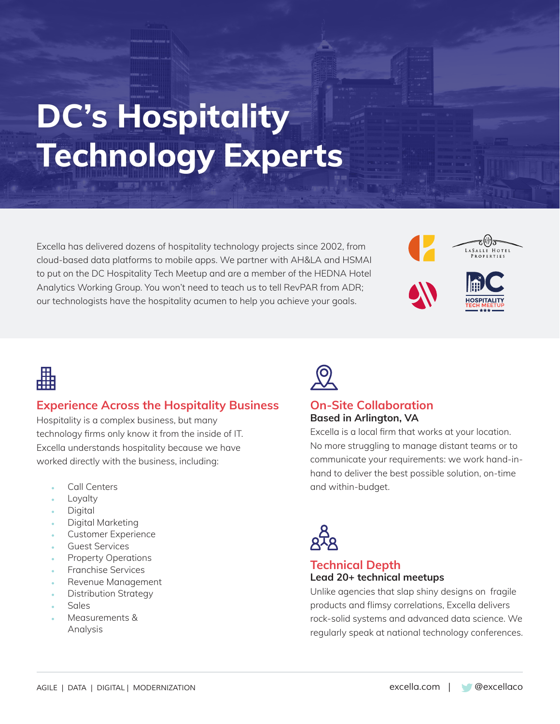# **DC's Hospitality Technology Experts**

Excella has delivered dozens of hospitality technology projects since 2002, from cloud-based data platforms to mobile apps. We partner with AH&LA and HSMAI to put on the DC Hospitality Tech Meetup and are a member of the HEDNA Hotel Analytics Working Group. You won't need to teach us to tell RevPAR from ADR; our technologists have the hospitality acumen to help you achieve your goals.





# 畾

# **Experience Across the Hospitality Business**

Hospitality is a complex business, but many technology firms only know it from the inside of IT. Excella understands hospitality because we have worked directly with the business, including:

- Call Centers
- **Loyalty**
- **Digital**
- Digital Marketing
- Customer Experience
- Guest Services
- Property Operations
- Franchise Services
- Revenue Management
- Distribution Strategy
- Sales
- Measurements & Analysis



#### **On-Site Collaboration Based in Arlington, VA**

Excella is a local firm that works at your location. No more struggling to manage distant teams or to communicate your requirements: we work hand-inhand to deliver the best possible solution, on-time and within-budget.



### **Technical Depth Lead 20+ technical meetups**

Unlike agencies that slap shiny designs on fragile products and flimsy correlations, Excella delivers rock-solid systems and advanced data science. We regularly speak at national technology conferences.